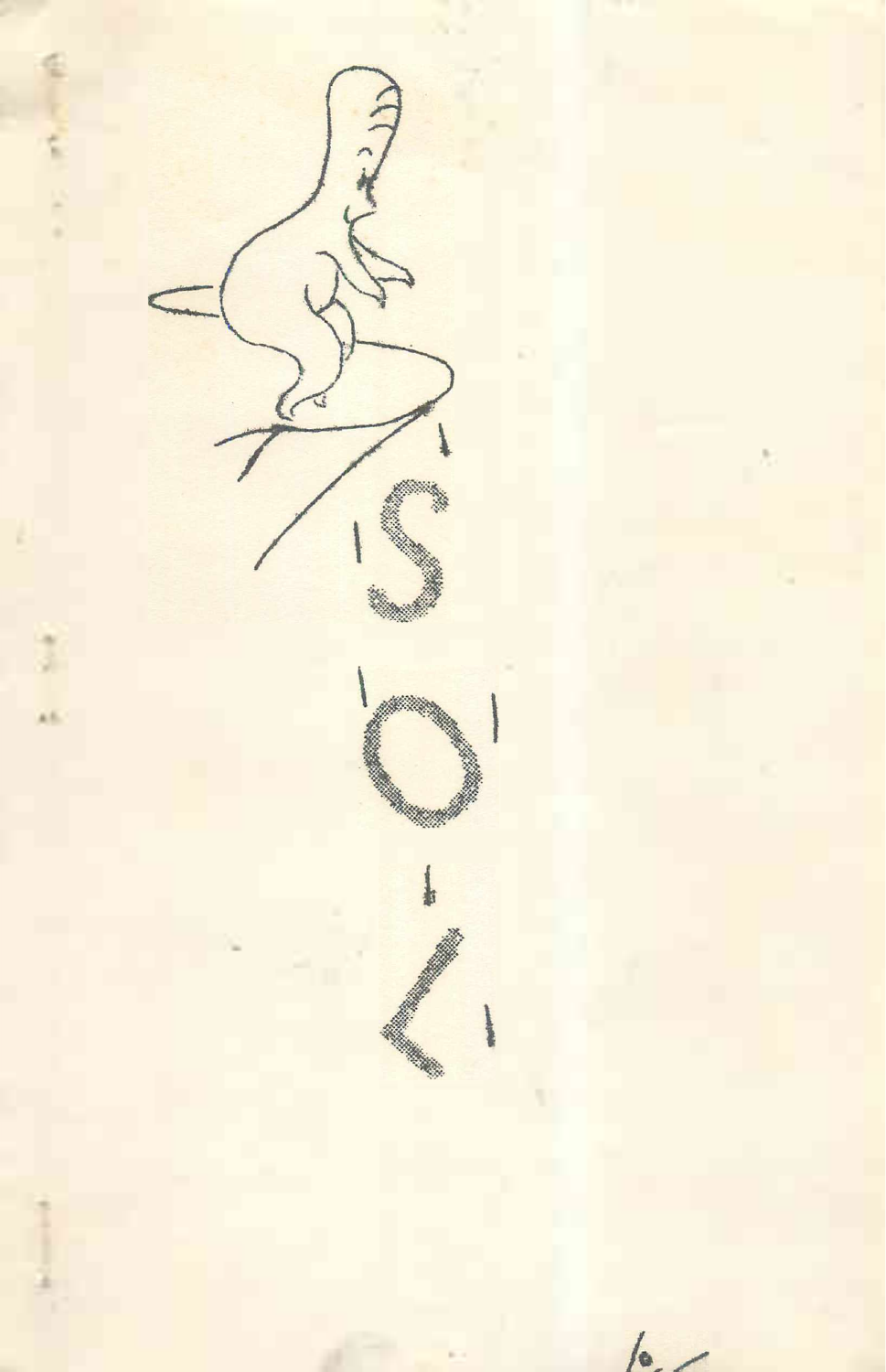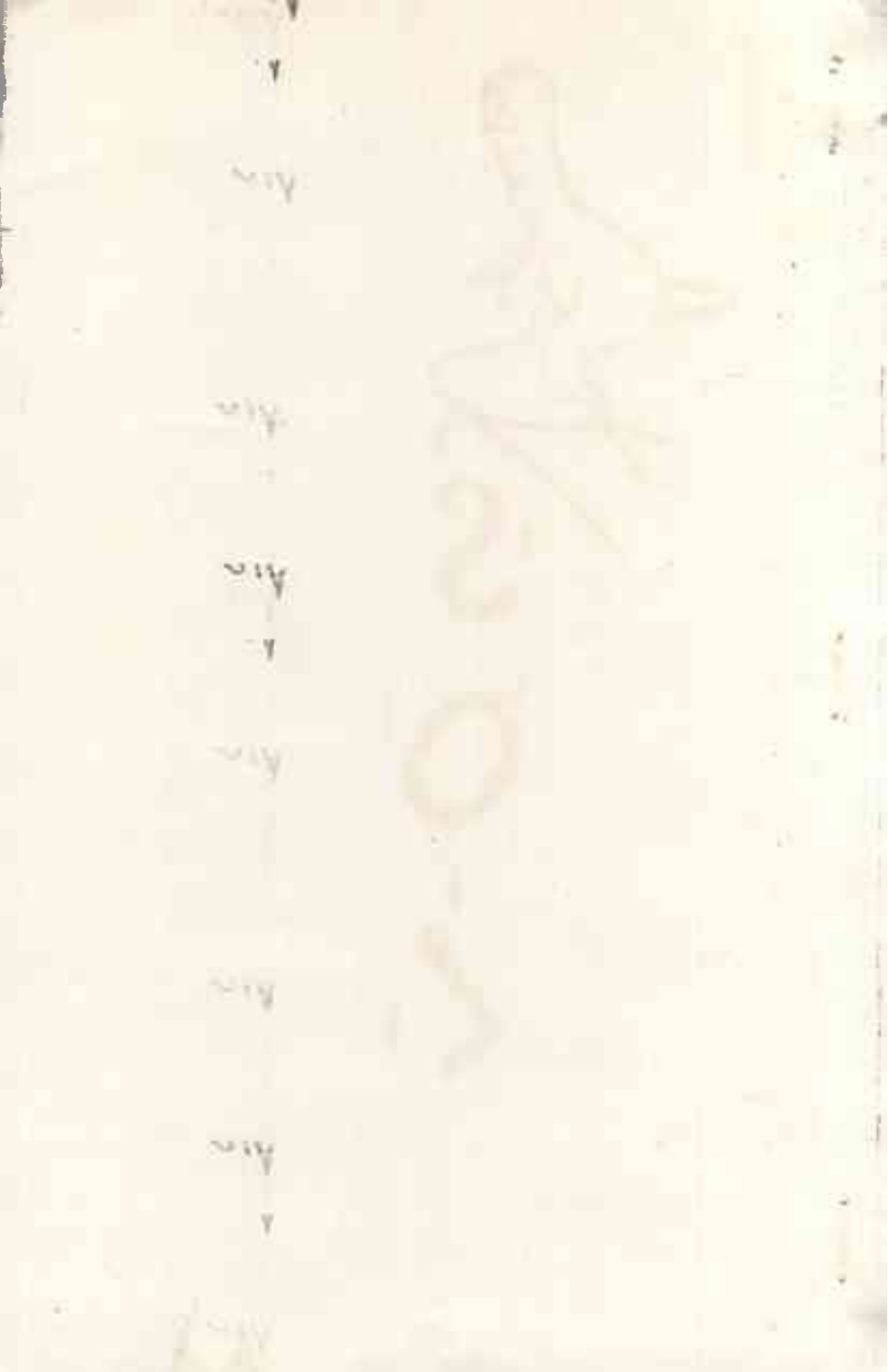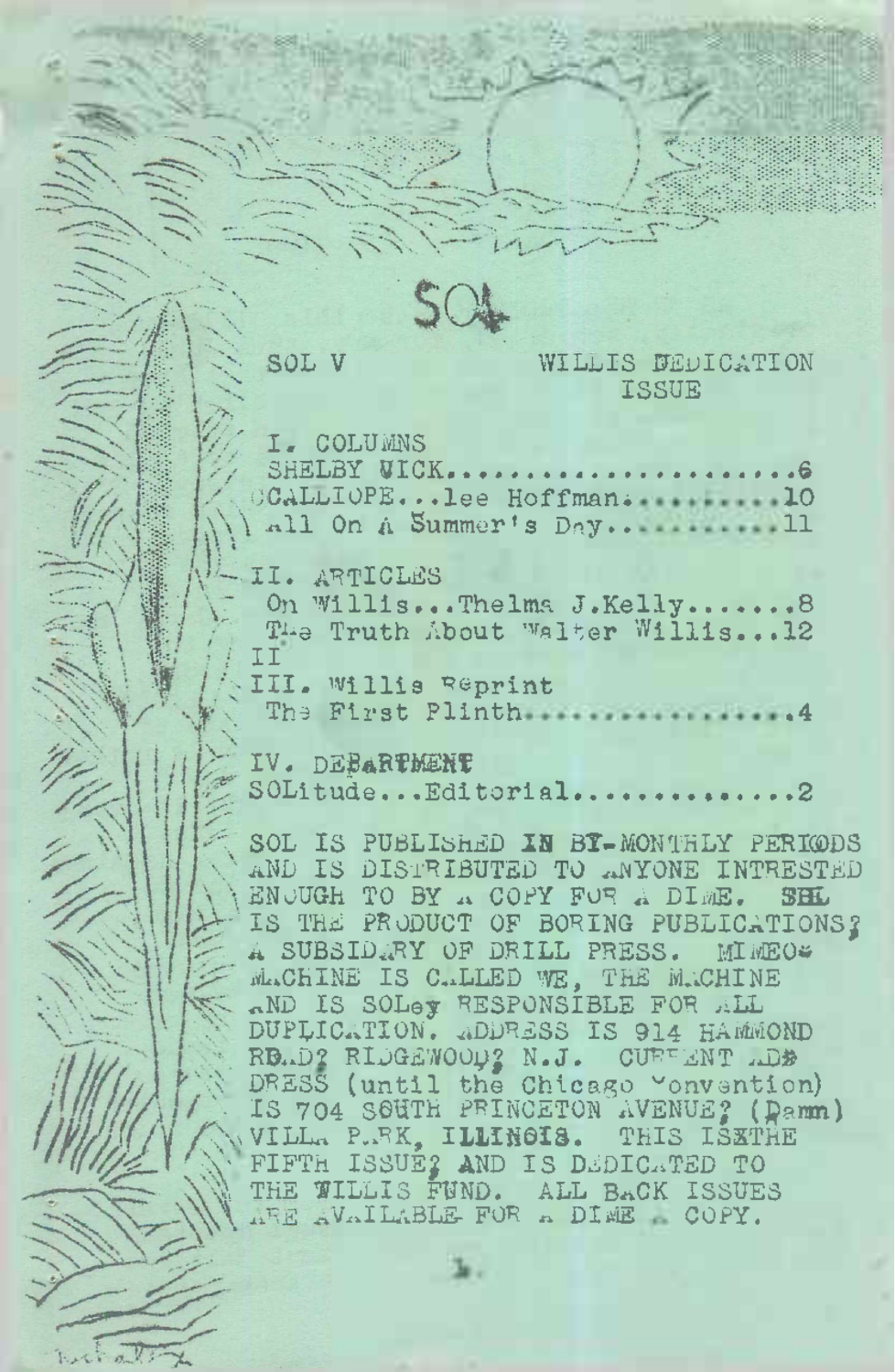SOL V

WILLIS DEUICATION **ISSUE** 

T. COLUMNS

| SHELBY UICK              |  |  |  |  |  |  |  |  |  |  |  |  |  |
|--------------------------|--|--|--|--|--|--|--|--|--|--|--|--|--|
| CALLIOPElee Hoffman10    |  |  |  |  |  |  |  |  |  |  |  |  |  |
| all On A Summer's Day 11 |  |  |  |  |  |  |  |  |  |  |  |  |  |

II. ARTICLES

On Willis...Thelma J.Kelly.......8 The Truth About Walter Willis...12 ΤŤ

III. Willis Reprint The First Plinth..

IV. DEBARTMENT SOLitude...Editorial...  $\cdot$  2

SOL IS PUBLISHED IN BT-MONTHLY PERIODS AND IS DISTRIBUTED TO ANYONE INTRESTED ENOUGH TO BY A COPY FOR A DIME. SHL IS THE PRODUCT OF BORING PUBLICATIONS? A SUBSIDARY OF DRILL PRESS. MIMEO-MACHINE IS CALLED WE. THE MACHINE AND IS SOLer RESPONSIBLE FOR ALL DUPLICATION. ADDRESS IS 914 HAMMOND RB.D? RIDGEWOOD? N.J. CUEFENT ADB DRESS (until the Chicago Yonvention) IS 704 SOUTH PRINCETON AVENUE? (Damm) VILL. P.RK. ILLINOIS. THIS ISXTHE FIFTH ISSUE? AND IS DEDICATED TO THE WILLIS FUND. ALL BACK ISSUES ARE AVAILABLE FOR A DIME COPY.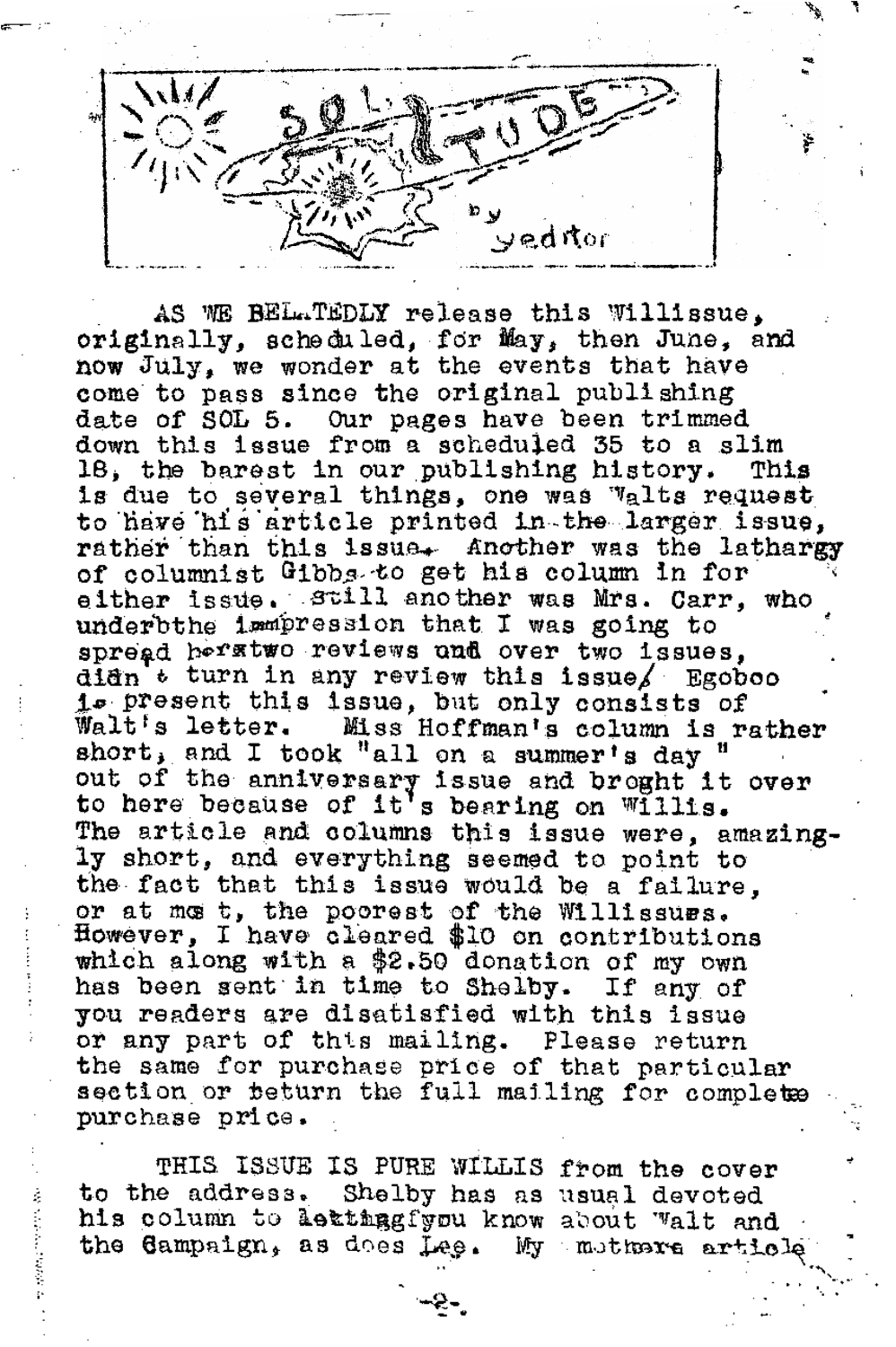

AS WE BELATEDLY release this Willissue, originally, scheduled, for May, then June, and now July, we wonder at the events that have come to pass since the original publishing date of SOL 5. Our pages have been trimmed down this issue from a scheduled <sup>35</sup> to a slim 18, the barest in our publishing history. This is due to several things, one was Walts request to have his article printed in-the larger issue, rather than this issue. Another was the lathargy of columnist Gibbs-to get his column in for of columnist wibbs to get his column in for<br>either issue. Still another was Mrs. Carr, who either issue. Still another was Mrs. Carr, who underbthe immiression that I was going to underbthe immpression that I was going to spread beratwo reviews out over two issues. didn turn in any review this issue/ Egoboo 1-e present this issue, but only consists of Walt'<sup>s</sup> letter. Miss Hoffman'<sup>s</sup> column is rather short, and I took "all on a summer's day " short, and I took "all on a summer's day"<br>out of the anniversary issue and broght it over out of the anniversary issue and broght it<br>to here because of it's bearing on Willis. The article and columns this issue were, amazingly short, and everything seemed to point to the fact that this issue would be <sup>a</sup> failure, the fact that this issue would be a failur<br>or at mœ t, the poorest of the Willissues. However, I have cleared \$10 on contributions which along with a \$2.50 donation of my own has been sent in time to Shelby. If any of you readers are disatisfied with this issue or any part of this mailing. Please return the same for purchase price of that particular section or teturn the full mailing for completes purchase price.

THIS ISSUE IS PURE WILLIS from the cover to the address. Shelby has as usual devoted his column to lettingfyou know about Walt and the Gampaign, as does Lee. My mothers article

こうしん こうかい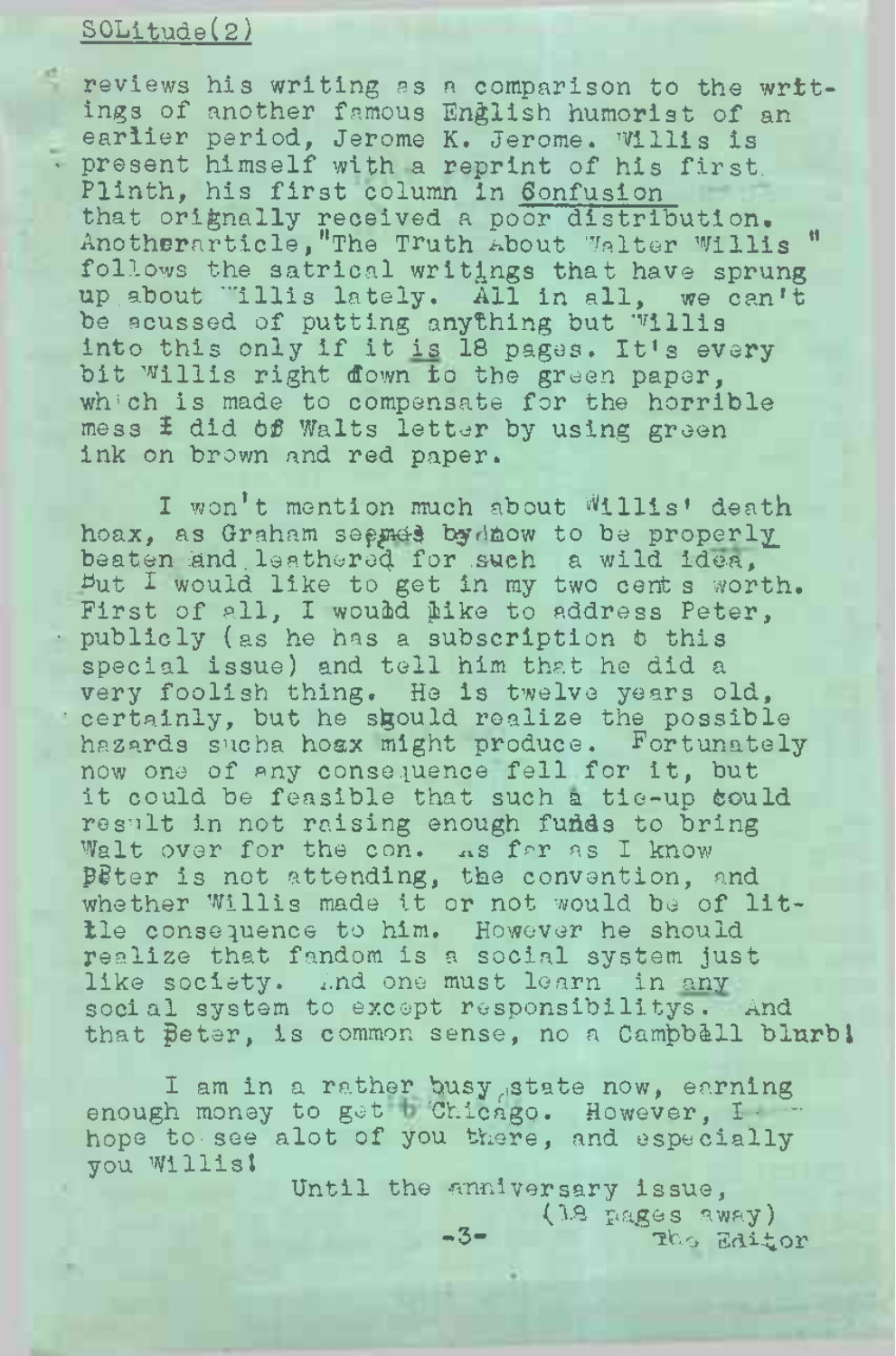# SOLitude(2)

reviews his writing as a comparison to the writings of another famous English humorist of an earlier period, Jerome K. Jerome. Willis is present himself with a reprint of his first. Plinth, his first column in Confusion that orignally received a poor distribution. Anotherarticle, "The Truth About Walter Willis follows the satrical writings that have sprung up. about '"Illis lately. All in all, we can't be acussed of putting anything but 'Villis into this only if it is <sup>18</sup> pages. It'<sup>s</sup> every bit Willis right down to the green paper, which is made to compensate for the horrible mess I did of Walts letter by using green ink on brown and red paper.

I won't mention much about Willis' death hoax, as Graham seemed by how to be properly beaten and leathered for such a wild idea, but I would like to get in my two cents worth. First of all, I would like to address Peter, publicly (as he has a subscription  $b$  this special issue) and tell him that he did <sup>a</sup> very foolish thing. He is twelve years old, certainly, but he should realize the possible hazards sucha hoax might produce. Fortunately now one of any consequence fell for it, but it could be feasible that such a tie-up could result in not raising enough funds to bring Walt over for the con. As far as I know Beter is not attending, the convention, and whether Willis made it or not would be of little consequence to him. However he should realize that fandom is <sup>a</sup> social system just like society. And one must learn in any social system to except responsibilitys. And that Beter, is common sense, no a Cambbell blurb!

I am in a rather busy state now, earning enough money to get | Chicago. However, Ihope to-see alot of you there, and especially you Willisl

Until the anniversary issue, G-8 pages away) The Editor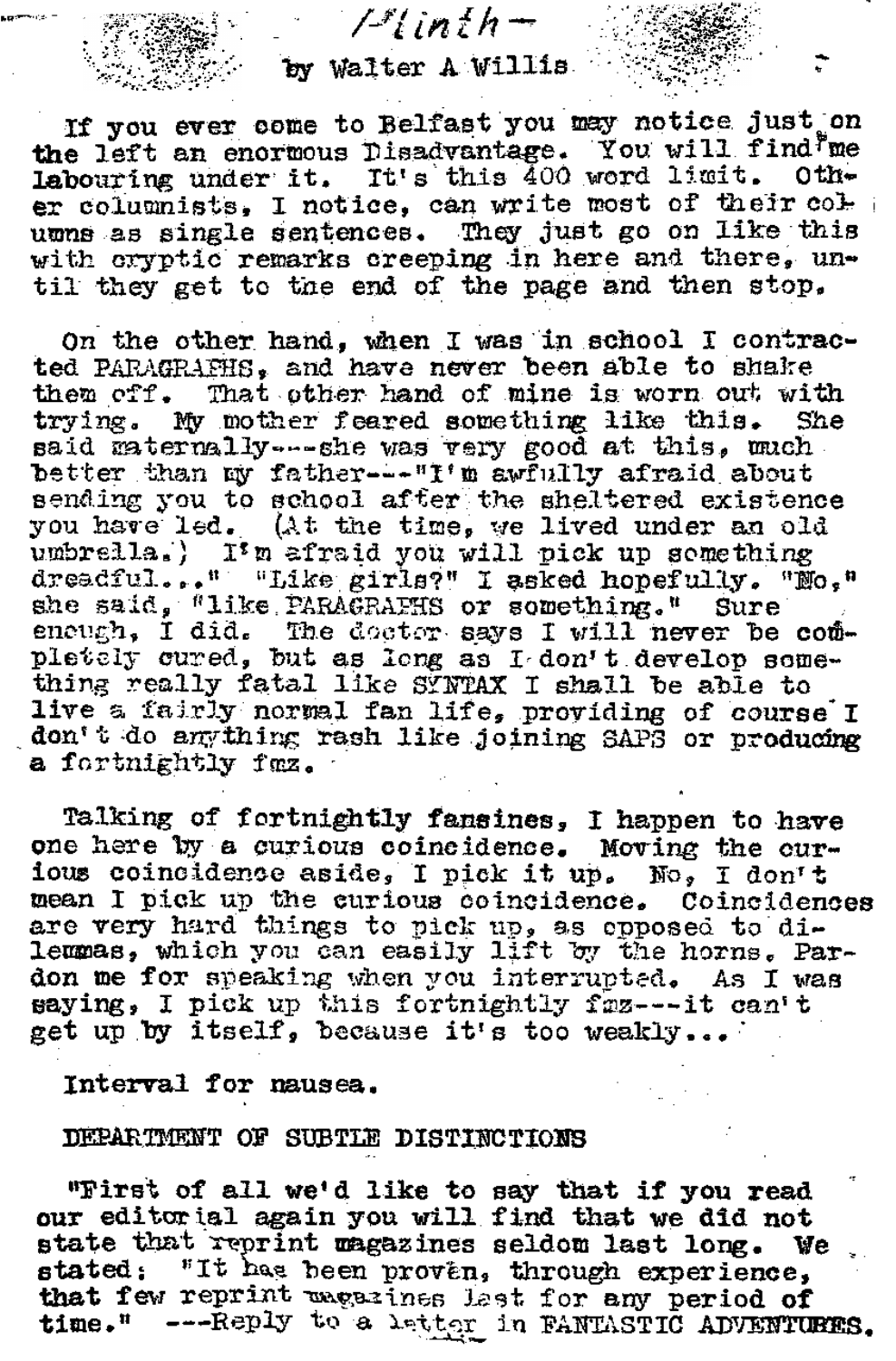# $I^f$ inth-

by Valter <sup>A</sup> Willis

If you ever come to Belfast you may notice just, on the left an enormous Disadvantage. You will find  $\mathbb{R}^m$  me labouring under it. It's this 400 word limit. Oth-Labouring under it. It's this  $400$  word limit. er columnists, I notice, can write most of their col ; umns as single sentences. They just go on like this with cryptic remarks creeping in here and there, until they get to the end of the page and then stop.

On the other hand, when I was in school I contracted PARAGRAPHS, and have never been able to shake them off. That other hand of mine is worn out with trying. My mother feared something like this. She said maternally --- she was very good at this, much better than my father---"I'm awfully afraid about sending you to school after the sheltered existence you have led. (At the time, we lived under an old umbrella.) I'm afraid you will pick up something dreadful..." "Like girls?" I asked hopefully. "No." she said, "like PARAGRAPHS or something." Sure eneugh, I did. The doctor-says I will never be completely cured, but as long as I don't develop something really fatal like SYNTAX I shall be able to uning really latel like Simina I shall be able to<br>live a fairly normal fan life, providing of course I don't do anything rash like joining SAPS or producing<br>don't do anything rash like joining SAPS or producing a fortnightly fmz.

Talking of fortnightly fansines, I happen to have one here by a curious coincidence. Moving the curious coincidence aside, I pick it up. No, I don't mean I pick up the curious coincidence. Coincidences are very hard things to pick up, as opposed to dilemmas, which you can easily lift by the horns. Pardon me for speaking when you interrupted. As I was saying, I pick up this fortnightly fmz --- it can't get up by itself. because it's too weakly...

Interval for nausea.

#### DEPARTMENT OF SUBTLE DISTINCTIONS

"First of all we'<sup>d</sup> like to say that if you read our editorial again you will find that we did not state that reprint magazines seldom last long. We stated; "It has been proven, through experience, that few reprint ungazines lest for any period of time." ---Reply to a letter in FANTASTIC ADVENTURES.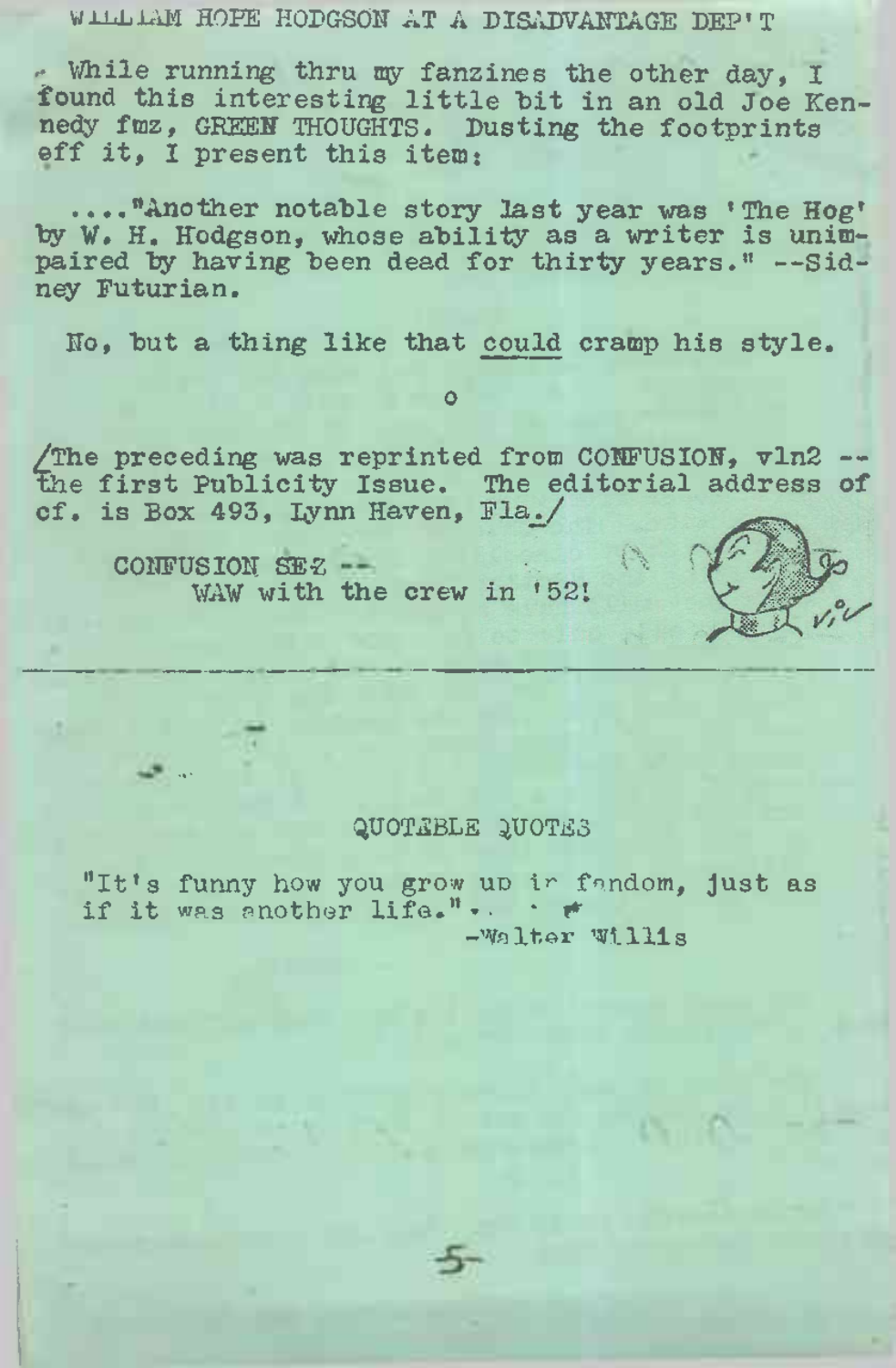WILLIAM HOPE HODGSON AT A DISADVANTAGE DEP'T

- While running thru my fanzines the other day, I found this interesting little hit in an old Joe Kennedy fmz, GREEN THOUGHTS. Dusting the footprints eff it, I present this item;

....''Another notable story last year was 'The Hog' by W. H. Hodgson, whose ability as a writer is unimpaired by having been dead for thirty years." --Sidney Futurian.

No, but a thing like that could cramp his style.

o

The preceding was reprinted from CONFUSION,  $\texttt{vln2}$  --The preceding was reprinted from CONFUSION, VINZ --<br>The first Publicity Issue. The editorial address of cf. is Box 493, lynn Haven,

CONFUSION SEZ --WAW with the crew in '52!

.. •

## QUOTABLE QUOTES

"It's funny how you grow up ir fandom, just as if it was another  $\text{life}^{\mathfrak{n}}$ . •  $\neq$ -WaIter Willis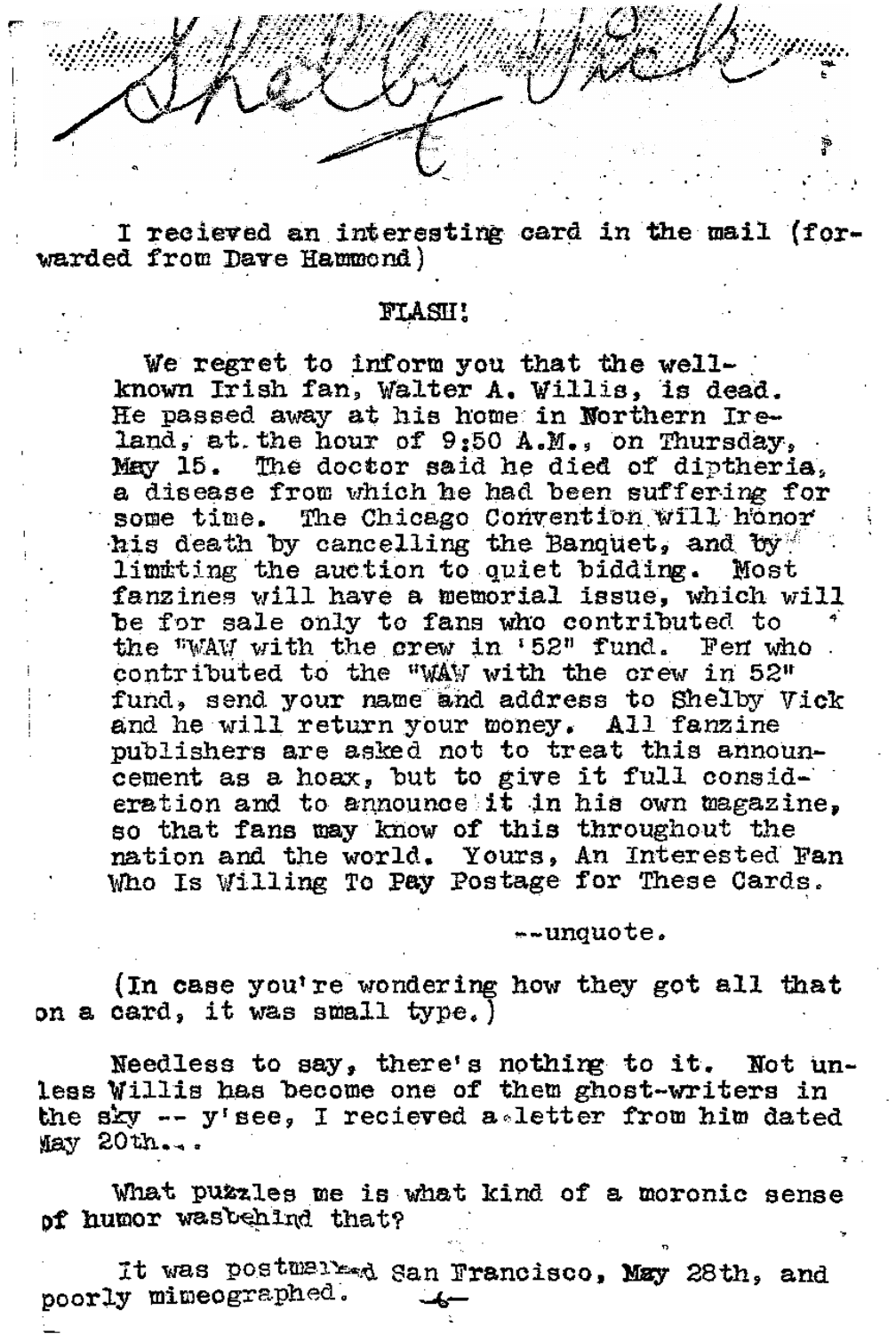I recieved an interesting card in the mail (forwarded from Dave Hammond)

### FLASH!

We regret to inform you that the wellknown Irish fan, Walter A. Willis, is dead. He passed away at his home in northern Ireland, at. the hour of 9:50 A.M., on Thursday, May 15. The doctor said he died of diptheria, a disease from which he had been suffering for some time. The Chicago Convention Will honor his death by cancelling the Banquet, and by  $\mathbb{R}^n$ limeting the auction to quiet bidding. Most fanzines will have a memorial issue, which will be for sale only to fans who contributed to  $\beta$  the <sup>s</sup>WAM with the crew in '52" fund. Fer who the "WAW with the crew in '52" fund. contributed to the "WAY with the crew in 52" fund, send your name and address to Shelby Vick and he will return your money. All fanzine publishers are asked not to treat this announcement as <sup>a</sup> hoax, but to give it full consideration and to announce it in his own magazine. so that fans nay know of this throughout the nation and the world. Yours, An Interested Ban Who Is Willing To Day Postage for These Cards.

--unquote.

(In case you're wondering how they got all that on <sup>a</sup> card, it was small type.)

Heedless to say, there'<sup>s</sup> nothing to it. Wot unless Willis has become one of them ghost-writers in the sky -- y'see, I recieved a letter from him dated **May 20th...** 

What puzzles me is what kind of a moronic sense of humor wasbehind that?

It was postmarked gan Francisco, May 28th, and poorly mimeographed.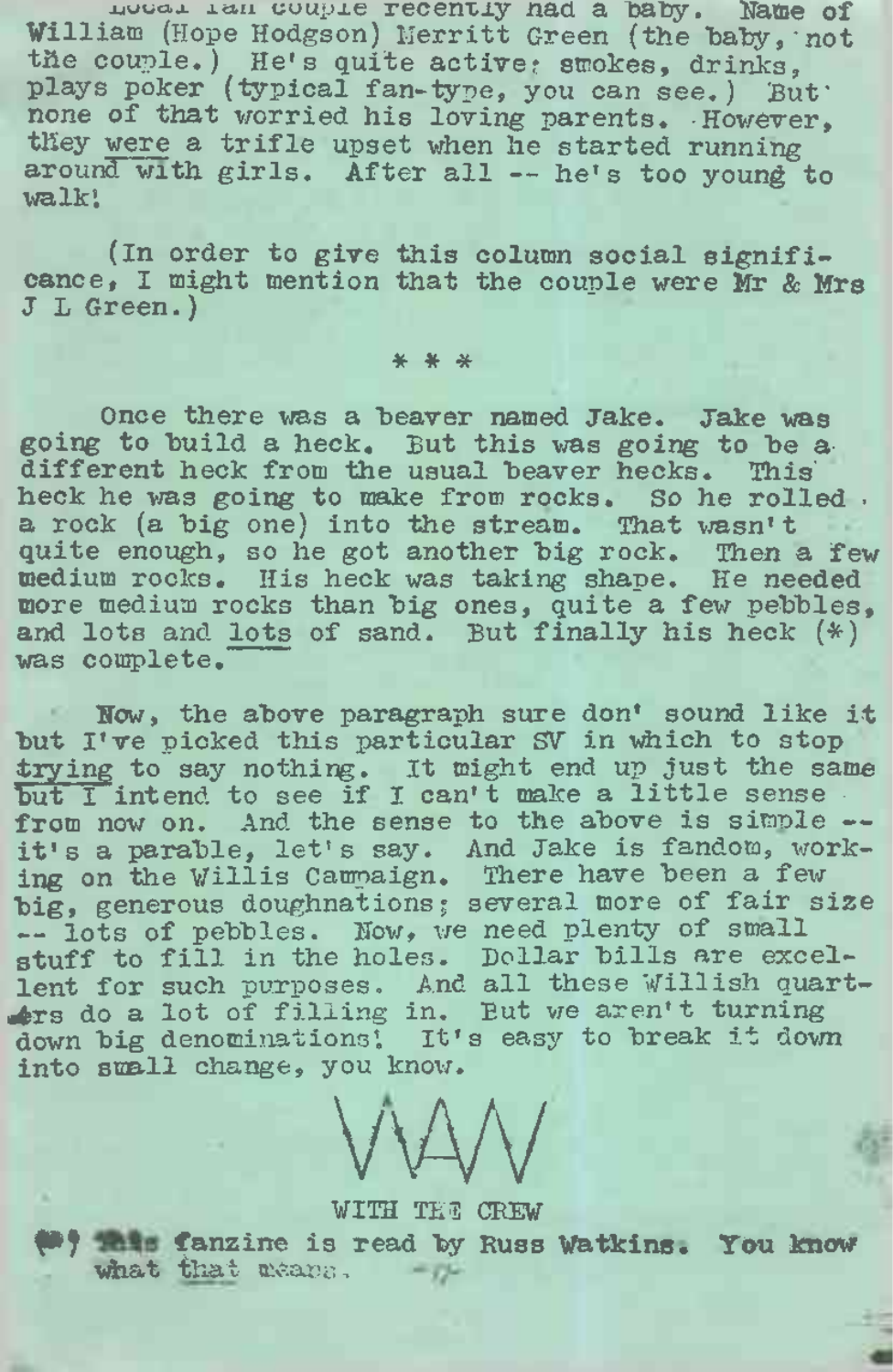iwwj. lan uuupxe recently nad a baby. Name of William (Hope Hodgson) Merritt Green (the baby,'not the couple.) He's quite active; smokes, drinks. plays poker (typical fan-type, you can see.) But' none of that worried his loving parents. However, they were <sup>a</sup> trifle upset when he started running around with girls. After all — he's too young to walk'.

(In order to give this column social significance, I might mention that the couple were Mr & Mrs J <sup>L</sup> Green.)

#### \* \* \*

Once there was a heaver named Jake. Jake was going to build a heck. But this was going to be adifferent heck from the usual heaver hecks. This' heck he was going to make from rocks. So he rolled . a rock (a hig one) into the stream. That wasn't quite enough, so he got another big rock. Then a few medium rocks. His heck was taking shape. He needed more medium rocks than big ones, quite a few pebbles, and lots and lots of sand. But finally his heck  $(*)$ was complete.

Mow, the above paragraph sure don' sound like it hut I've picked this particular SV in which to stop trying to say nothing. It might end up just the same but I intend to see if I can't make a little sense. from now on. And the sense to the above is simple -it'<sup>s</sup> <sup>a</sup> parable, let's say. And Jake is fandom, working on the Willis Campaign. There have been a few big, generous doughnations; several more of fair size -- lots of pebbles. Now, we need plenty of small stuff to fill in the holes. Dollar bills are excellent for such purposes. And all these Willish quarters do a lot of filling in. But we aren't turning down big denominations'. It'<sup>s</sup> easy to break it down into small change, you know.

*VAAN* 

WITH THE CREW **(B) Fig. fanzine is read by Russ Watkins. You know** what that means, -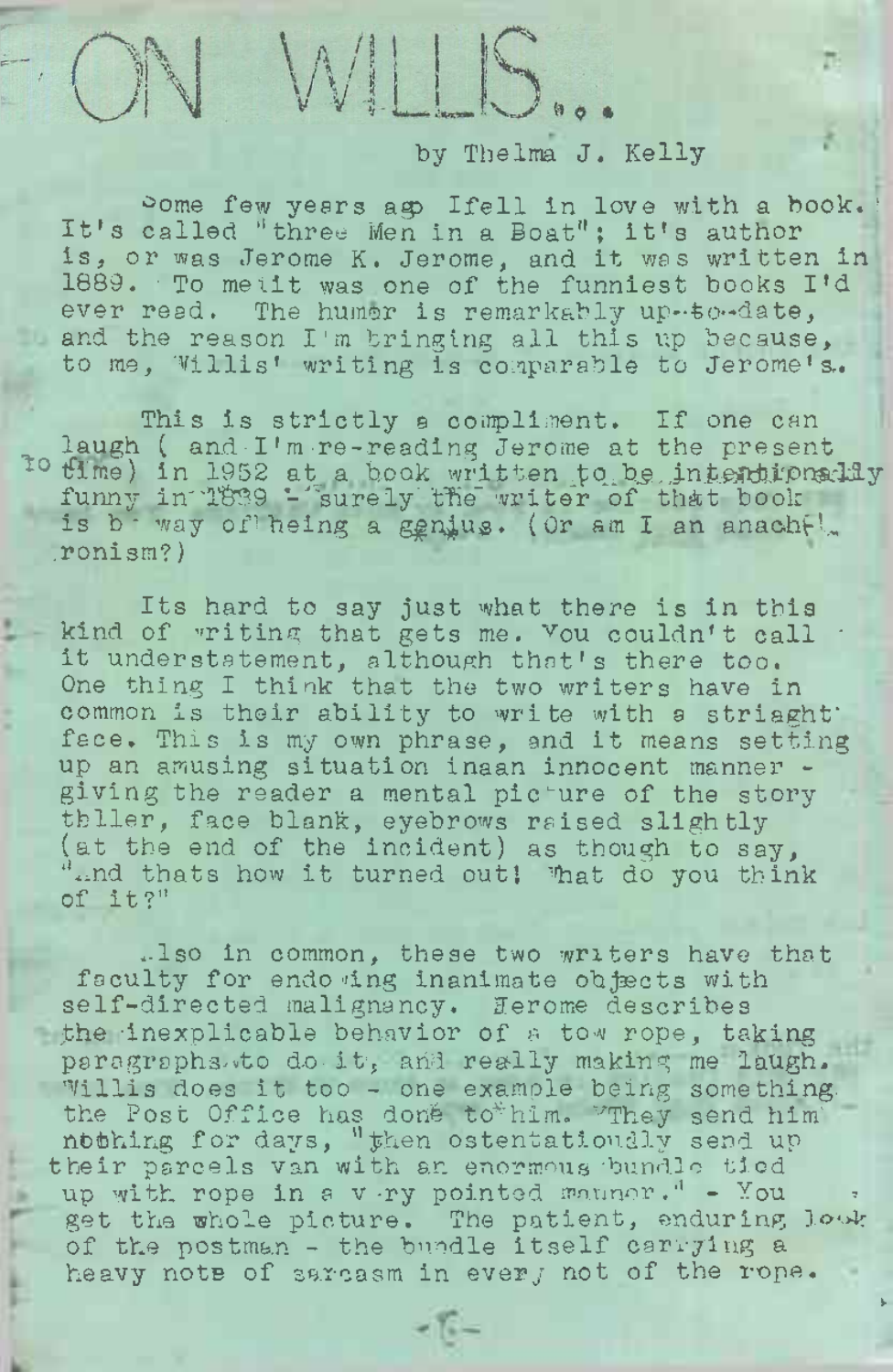by Thelma J. Kelly

Some few years agp Ifell in love with a book. Oome lew years ago liell in love with a n<br>It's called "three Men in a Boat"; it's author is, or was Jerome K. Jerome, and it was written in 1889. To metit was one of the funniest books I'd ever read. The humor is remarkably up-to-date, and the reason I'm bringing all this up because, to me, Willis' writing is comparable to Jerome's,.

WILLS.

The Court

This is strictly <sup>a</sup> compliment. If one can laugh ( and I'm re-reading Jerome at the present 10 time) in 1952 at a book written to be intendionally funny in 1839 - surely the writer of that book is b way of heing a genius. (Or am I an anacht. .ronism?)

Its hard to say just what there is in this kind of writing that gets me. vou couldn't call <sup>5</sup> it understatement, although that's there too. One thing I think that the two writers have in common is their ability to write with <sup>a</sup> striaght' face. This is my own phrase, and it means setting up an amusing situation inaan innocent manner giving the reader a mental picture of the story thller, face blank, eyebrows raised slightly (at the end of the incident) as though to say, "..nd thats how it turned out! That do you think of it?"

..lso in common, these two writers have that faculty for endowing inanimate objects with self-directed malignancy. Herome describes the inexplicable behavior of a tow rope, taking paragraphs.to do it, and really making me laugh. Willis does it too - one example being something, the Post Office has done to him. They send him nothing for days, "then ostentatioudly send up their parcels van with an enormous 'bundle tied up with rope in <sup>a</sup> v -ry pointed manner.'' - You \* get the whole picture. The patient, enduring look of the postman - the bundle itself carrying a heavy note of sarcasm in every not of the rope.

 $-16-$ 

y-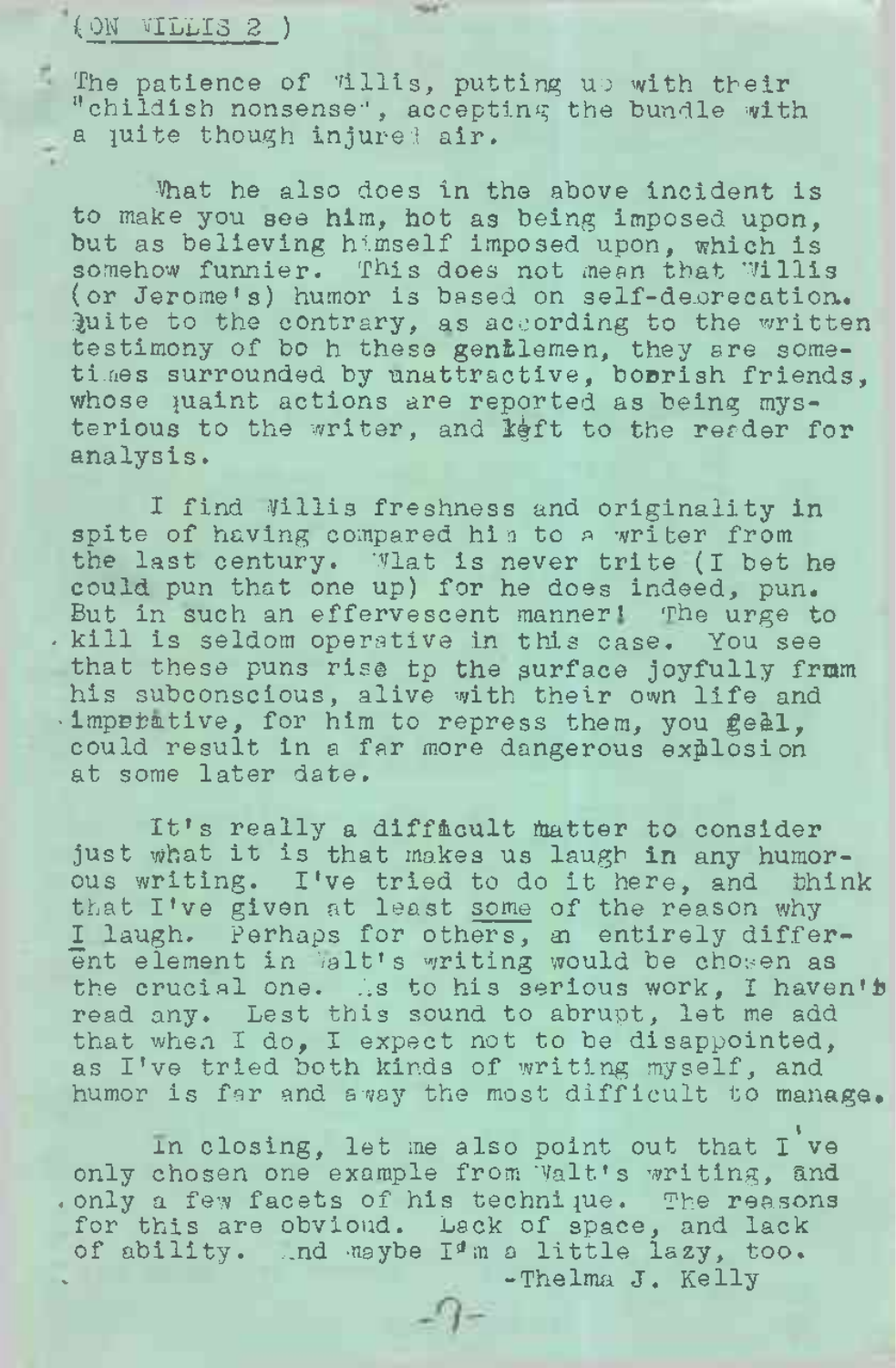# {ON TILLIS 2 )

The patience of Tillis, putting up with their "childish nonsense", accepting the bundle with a juite though injured air.

That he also does in the above incident is to make you see him, hot as being imposed upon, but as believing himself imposed upon, which is somehow funnier. This does not mean that Willis (or Jerome's) humor is based on self-decrecation. iuite to the contrary, as according to the written testimony of bo h these gentlemen, they are sometimes surrounded by unattractive, bobrish friends, whose juaint actions are reported as being mysterious to the writer, and isft to the reader for analysis.

I find Villis freshness and originality in spite of having compared him to a writer from the last century. Wlat is never trite (I bet he could pun that one up) for he does indeed, pun. But in such an effervescent manner' The urge to . kill is seldom operative in this case. You see that these puns rise tp the surface joyfully from his subconscious, alive with their own life and • imperative, for him to repress them, you ge&l, could result in <sup>a</sup> far more dangerous explosion at some later date.

It's really a difficult matter to consider just what it is that makes us laugh in any humorjust what it is that makes us laugh in any humor-<br>ous writing. I've tried to do it here, and think<br>that limit is a strain that ous writing. I've tried to do it here, and the<br>that I've given at least <u>some</u> of the reason why<br>-I laugh. Perhaps for others, a entirely different element in '/alt's writing would be chosen as the crucial one. As to his serious work, I haven't read any. Lest this sound to abrupt, let me add that when I do, I expect not to be disappointed, as I've tried both kinds of writing myself, and humor is far and away the most difficult to manage.

In closing, let me also point out that I ve only chosen one example from 'Valt'<sup>s</sup> writing, and .only a few facets of his technique. The reasons for this are obvioud. Lack of space, and lack of ability. And maybe I<sup>d</sup>m a little lazy, too. -Thelma J. Kelly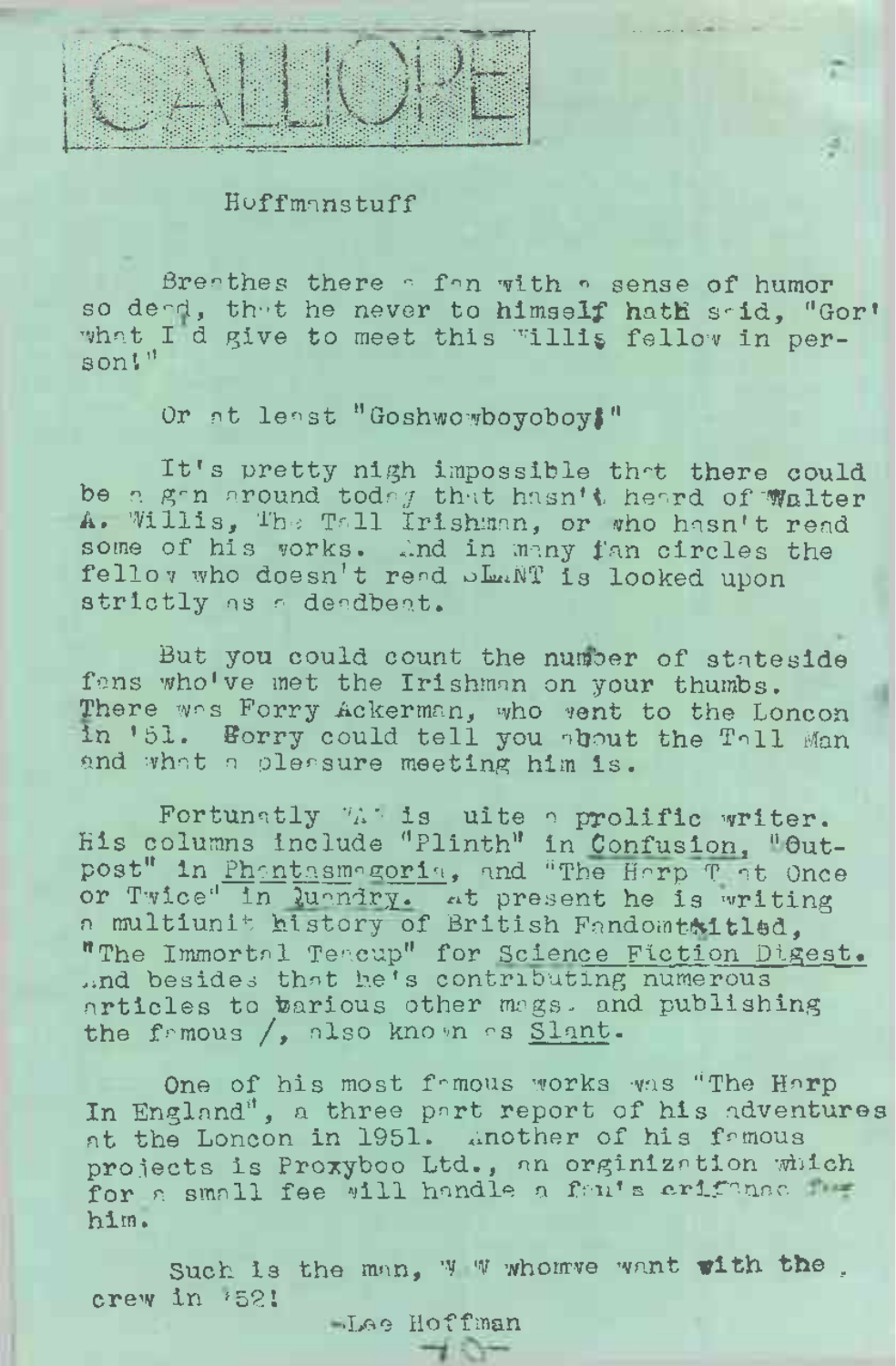

#### Huffmnnstuff

Breathes there a fan with a sense of humor so deed, that he never to himself hath s-id. "Gor' what I d give to meet this "illis fellow in person'. "

Or at least "Goshwowboyoboy"

It's pretty nigh impossible that there could be a gen around today that hasn't heard of Walter A. Willis, The Tall Irishman, or who hasn't read some of his works. And in many fan circles the fellov who doesn't rend what's looked upon strictly as a deadbeat.

But you could count the number of stateside fans who've met the Irishman on your thumbs. There was Forry Ackerman, who vent to the Loncon in '51. Sorry could tell you about the Tall Man and what a pleasure meeting him is.

Fortunatly 'A' is uite a prolific writer. His columns include "Plinth" in Confusion, "Outpost" in Phantasmagoria, and "The Harp T at Once or Twice" in luandry. at present he is writing a multiunit history of British Fandomt tiled. "The Immortal Teacup" for Science Fiction Digest. nnd besides that he's contributing numerous articles to barious other mags. and publishing the famous  $/$ , also known as Slant.

One of his most famous works was "The Harp In England", a three part report of his adventures at the Loncon in 1951. Another of his famous projects is Proxyboo Ltd., an orginizatlon which for a small fee will handle a fan's criftmac for him.

Such is the man, W W whomve want with the crew in \*521

■Lee Hoffman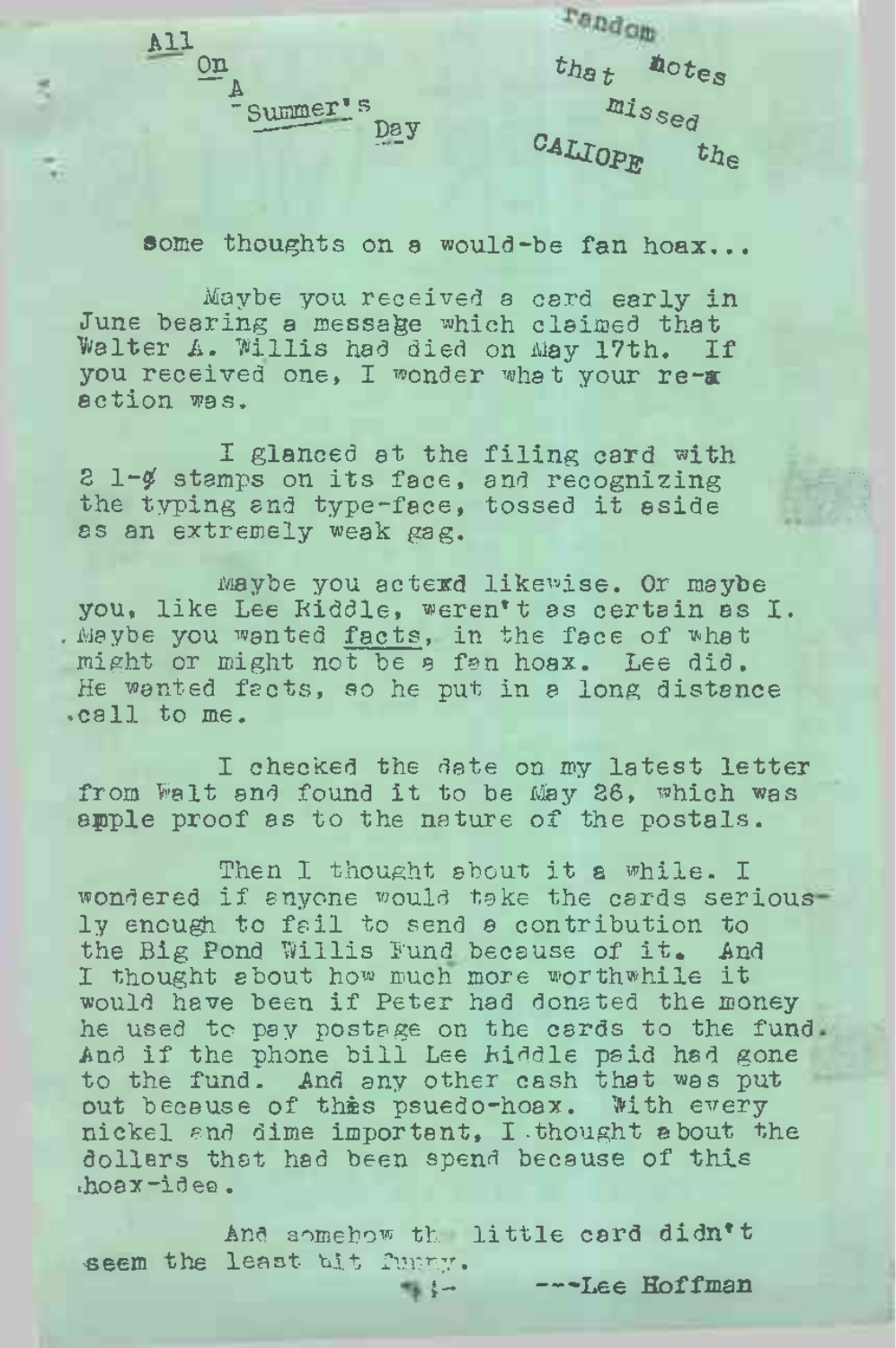$A11$  $0n$  $\Lambda$ Summer's Day

random that notes missed CALIOPE  $th_{\mathfrak{S}}$ 

some thoughts on a would-be fan hoax...

Maybe you received a card early in June bearing a messake which claimed that Walter A. Willis had died on May 17th. If you received one, I wonder what your re-a action was.

I glanced at the filing card with 2 1-¢ stamps on its face, and recognizing the typing and type-face, tossed it aside as an extremely weak gag.

maybe you actexd likewise. Or maybe you, like Lee Riddle, weren't as certain as I. . Maybe you wanted facts, in the face of what might or might not be a fan hoax. Lee did. He wanted facts, so he put in a long distance  $\text{real}$  to me.

I checked the date on my latest letter from Walt and found it to be May 26, which was ample proof as to the nature of the postals.

Then I thought shout it a while. I wondered if anyone would take the cards serious ly enough to fail to send a contribution to the Big Pond Willis Fund because of it. And I thought about how much more worthwhile it would have been if Peter had donsted the money he used to pay postage on the cards to the fund And if the phone bill Lee kiddle paid had gone to the fund. And any other cash that was put out because of thes psuedo-hoax. With every nickel and dime important, I thought about the dollers that had been spend because of this hoax-idea.

And anmehow the little card didn't seem the least bit funny. ---Lee Hoffman 相反の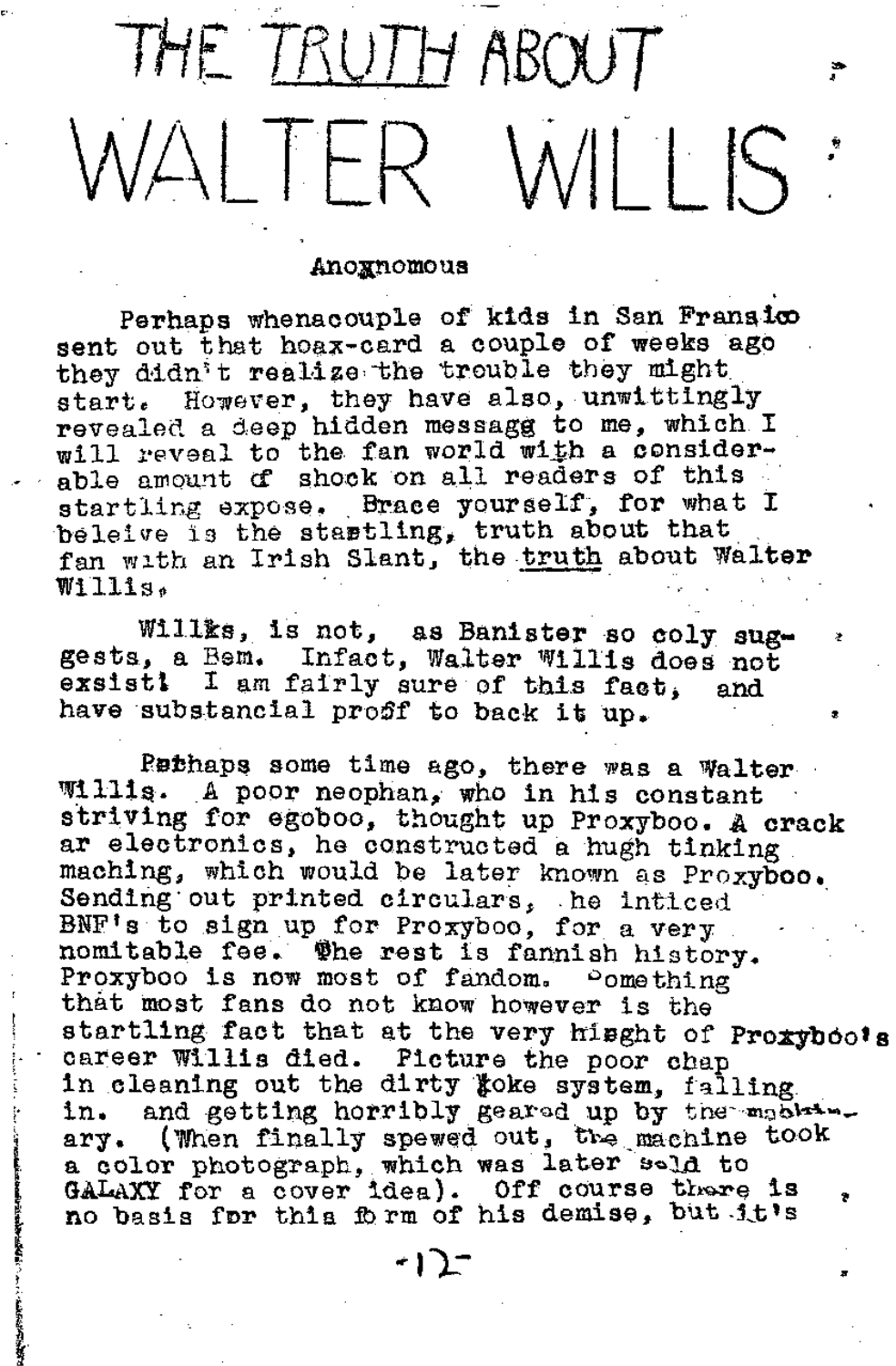# THE TRUTH ABOUT WALTER WILLIS

#### Anoynomous

Perhaps whenacouple of kids in San Fransico sent out that hoax-card a couple of weeks ago they didn't realize-the trouble they might, start. However, they have also, unwittingly revealed a deep hidden messagg to me, which I will reveal to the fan world with a considerable amount of shock on all readers of this startling expose. Brace yourself, for what I startling expose. brace yourself, for what is fan with an Irish Slant, the truth about Walter  $W1111s,$ 

Willks, is not, as Banister so coly sug-  $\rightarrow$ gests, a Bern. Infact, Walter Willis does not exsistl I am fairly sure of this fact, and have substancial proff to back it up.

Psfehaps some time ago, there was a Walter Willis. A poor neophan, who in his constant striving for egoboo, thought up Proxyboo. <sup>A</sup> crack ar electronics, he constructed a hugh tinking maching, which would be later known as Proxyboo. Sending'out printed Circulars, he inticed BNF's to sign up for Proxyboo, for a very nomitable fee. ®he rest is fannish history. Proxyboo is now most of fandom. Something that most fans do not know however is the startling fact that at the very hisght of Proxyboo's career Willis died. Picture the poor chap in cleaning out the dirty toke system, falling, in. and getting horribly geared up by the mobilityary. (When finally spewed out, the machine took a color photograph, which was later sold to a color photograph, which was fatter sein to a cover idea). Off course there is , no basis for thia form of his demise, but-lt»s

 $-12-$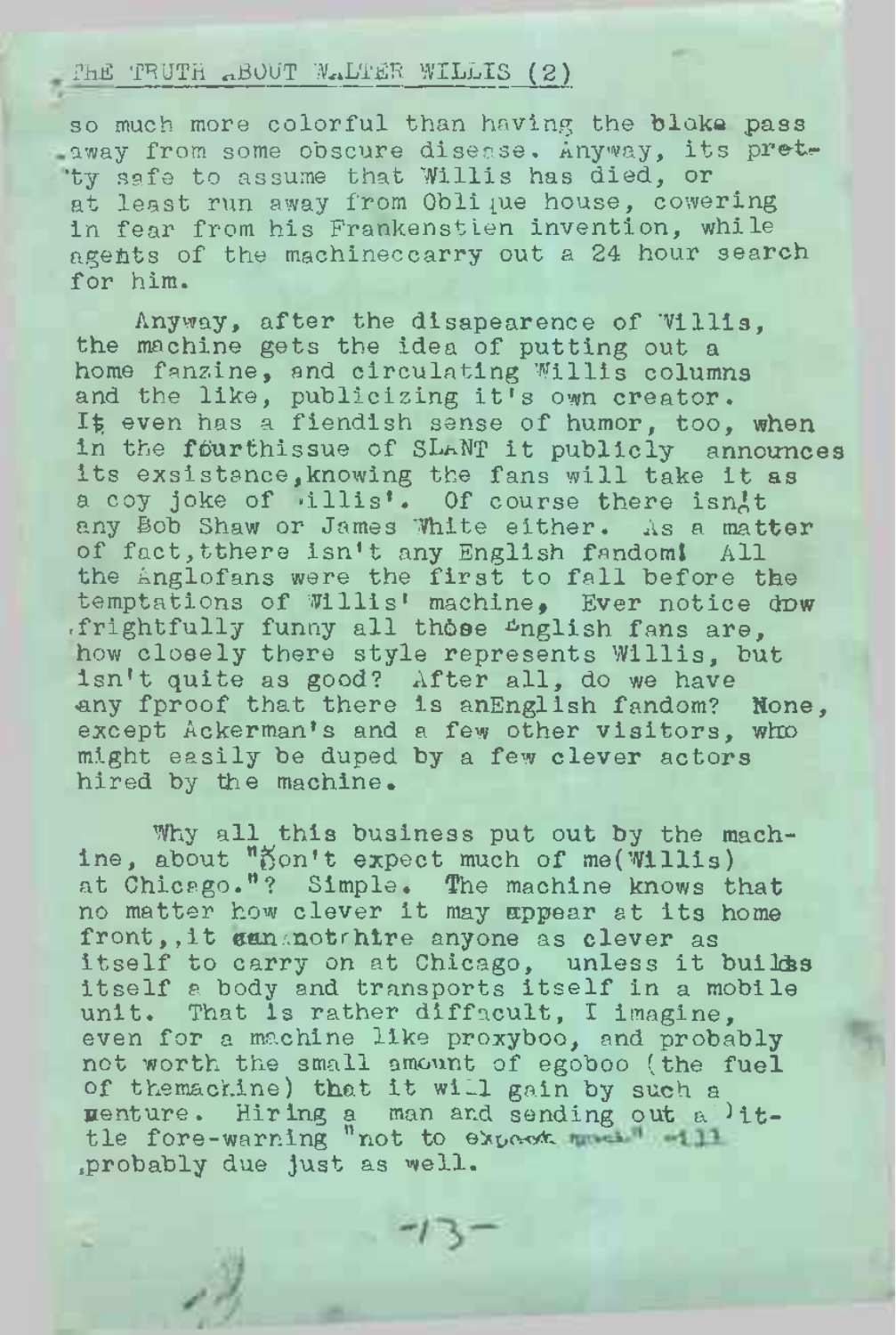# THE TRUTH ABOUT WALTER WILLIS (2)

so much more colorful than having the bloke pass away from some obscure disease. Anyway, its pret-'ty safe to assume that Willis has died, or at least run away from Oblique house, cowering in fear from his Frankenstien Invention, while agehts of the machineccarry out a 24 hour search for him.

Anyway, after the disapearence of Willis, the machine gets the idea of putting out a home fanzine, and circulating Willis columns and the like, publicizing it's own creator. It even has a fiendish sense of humor, too, when in the fburthissue of SLaNT it publicly announces its exsistance, knowing the fans will take it as a coy joke of illis'. Of course there isn't any Bob Shaw or James White either. As a matter of fact,tthere isn't any English fandoml All the Anglofans were the first to fall before the temptations of Willis' machine, Ever notice dow .frightfully funny all thbse English fans are, how closely there style represents Willis, but Isn't quite as good? After all, do we have any fproof that there is anEnglish fandom? None, except Ackerman's and <sup>a</sup> few other visitors, who might easily be duped by a few clever actors hired by the machine.

Why all this business put out by the machine, about " $\gamma$ on't expect much of me(Willis) at Chicago."? Simple. The machine knows that no matter how clever it may appear at its home front,, it can motrhire anyone as clever as itself to carry on at Chicago, unless it builds itself <sup>a</sup> body and transports itself in <sup>a</sup> mobile unit. That is rather difficult, I imagine, even for a machine like proxyboo, and probably not worth the small amount of egoboo (the fuel of themachine) that it will gain by such a wenture. Hiring a man and sending out a litthe fore-warning "not to exposit .probably due just as well.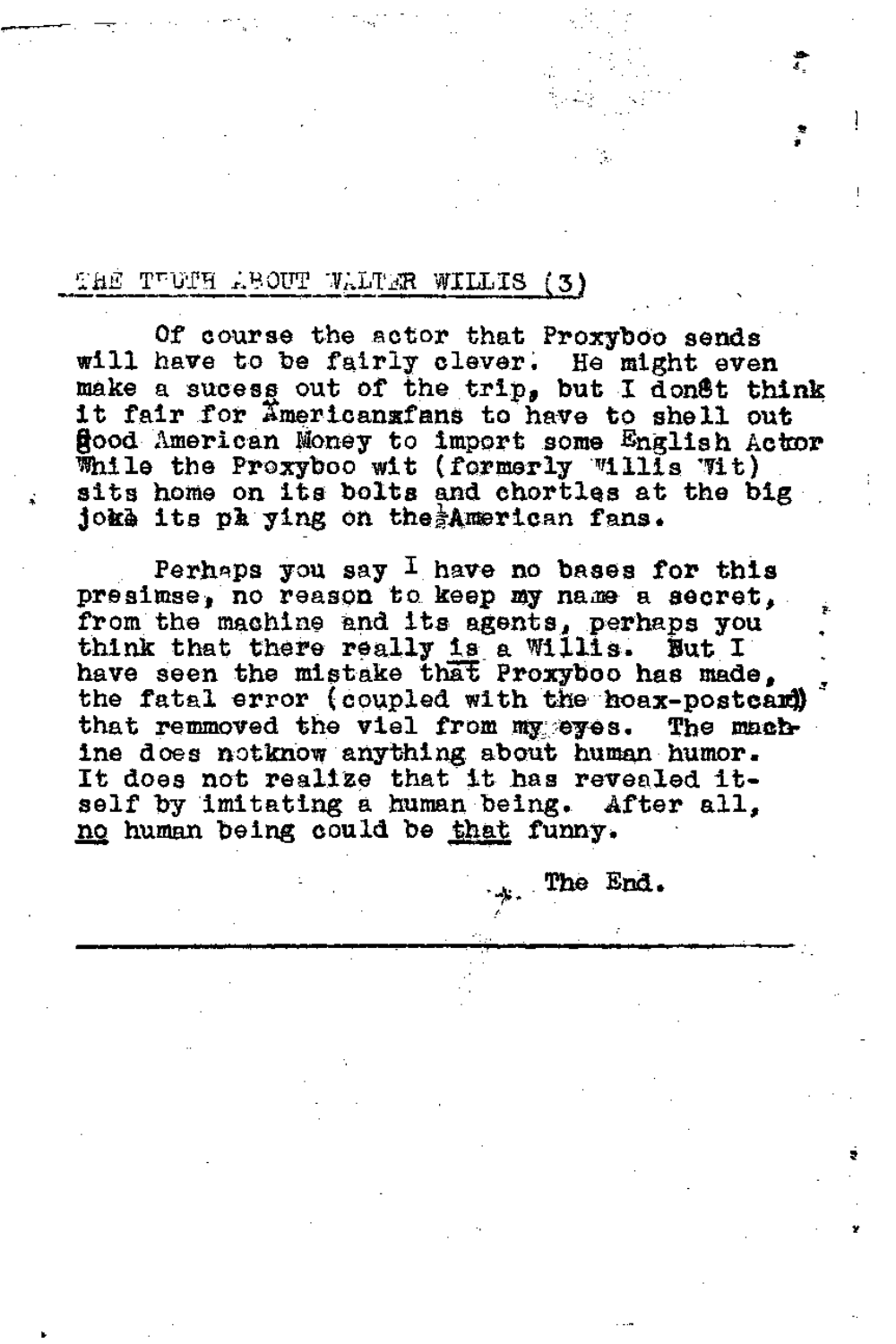# THE TRUTH ABOUT WALTER WIILIS (3)

Of course the actor that Proxyboo sends will have to be fairly clever. He might even make a sucess out of the trip, but I dongt think it fair for Smericanxfans to have to shell out flood American Money to import some English Actor While the Proxyboo wit (formerly Willis Wit) sits home on its bolts and chortles at the big joke its pk ying on the American fans.

Perhaps you say  $I$  have no bases for this presimse, no reason to keep my name a secret, from the machine and its agents, perhaps you think that there really is a Willis. But I have seen the mistake that Proxyboo has made. the fatal error (coupled with the hoax-postcard that remmoved the viel from my eyes. The machine does notknow anything about human humor. It does not realize that it has revealed itself by imitating a human being. After all. no human being could be that funny.

 $_{\ast}$ . The End.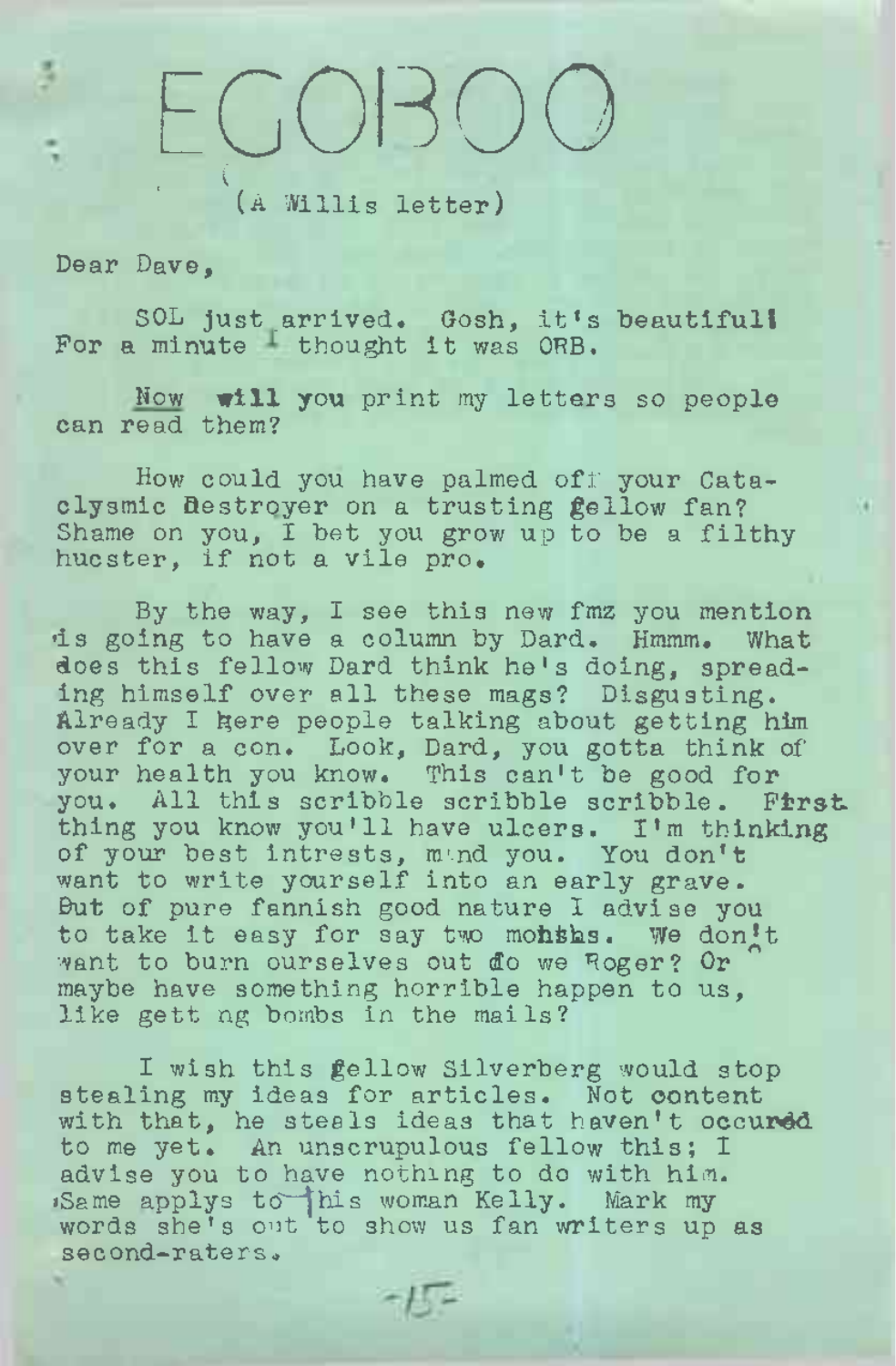,ECOBOO ( (A Willis letter)

Dear Dave,

SOL just arrived. Gosh, it's beautifull For a minute thought it was ORB.

Now **will you** print my letters so people can read them?

How could you have palmed oft your Cataclysmic destroyer on a trusting gellow fan? Shame on you, I bet you grow up to be <sup>a</sup> filthy hucster, if not <sup>a</sup> vile pro.

By the way, I see this new fmz you mention »is going to have a column by Dard. Hmmm. What does this fellow Dard think he's doing, spreading himself over all these mags? Disgusting. Already I here people talking about getting him over for a con. Look, Dard, you gotta think of your health you know. This can't be good for you. All this scribble scribble scribble. **First,** thing you know you'll have ulcers. I'<sup>m</sup> thinking of your best intrests, mind you. You don't want to write yourself into an early grave. But of pure fannish good nature I advise you to take it easy for say two months. We don't want to burn ourselves out do we Roger? Or maybe have something horrible happen to us, like gett ng bombs in the mails?

I wish this gellow Silverberg would stop stealing my ideas for articles. Not content with that, he steals ideas that haven't occurdd to me yet. An unscrupulous fellow this; I advise you to have nothing to do with him. •Same applys td"fhis woman Kelly. Mark my words she's out to show us fan writers up as second-raters.

 $-1$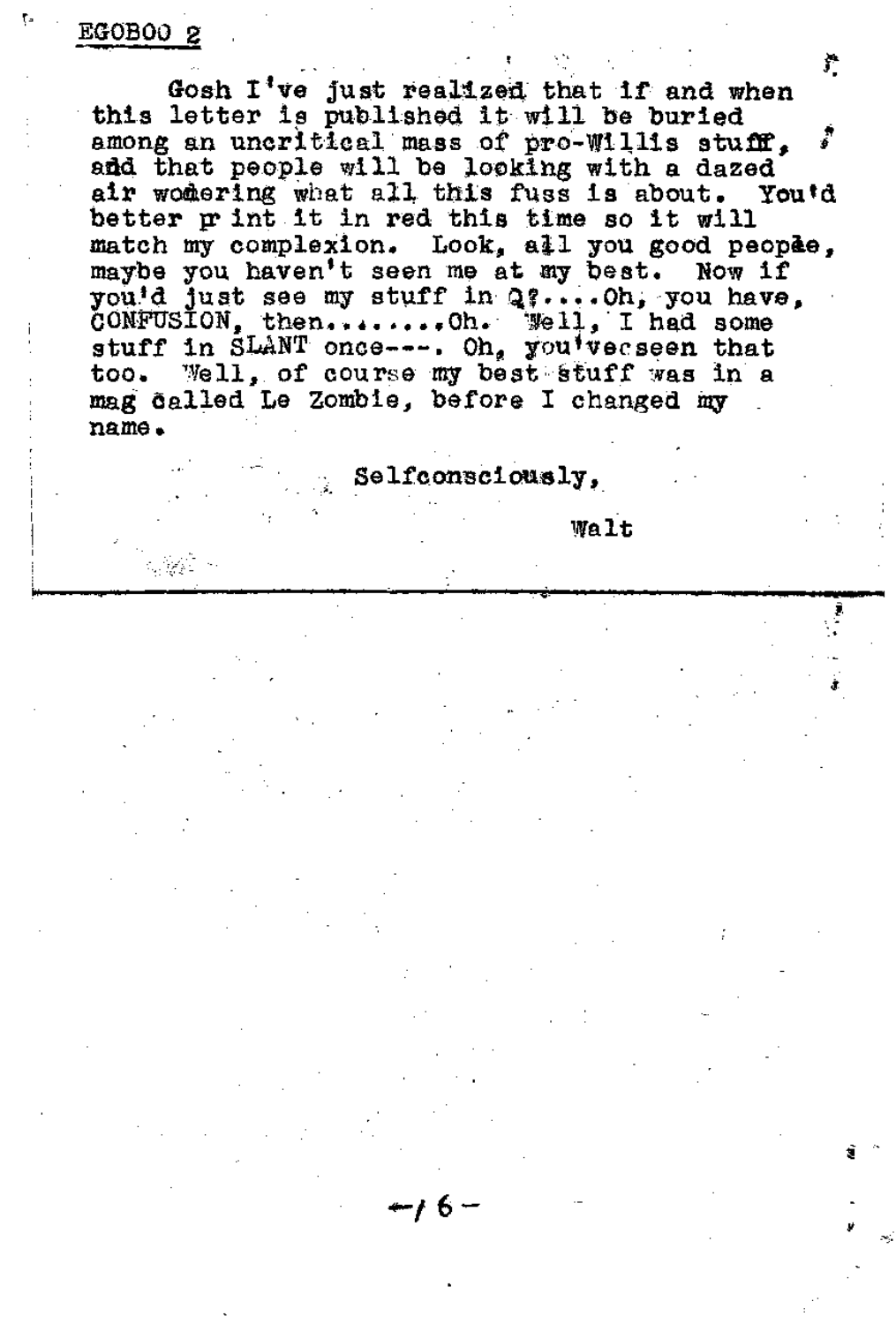#### EGOBOO 2  $\mathbf{B}=\begin{pmatrix} \mathbf{B} & \mathbf{B} & \mathbf{B} & \mathbf{B} & \mathbf{B} & \mathbf{B} & \mathbf{B} & \mathbf{B} & \mathbf{B} & \mathbf{B} & \mathbf{B} & \mathbf{B} & \mathbf{B} & \mathbf{B} & \mathbf{B} & \mathbf{B} & \mathbf{B} & \mathbf{B} & \mathbf{B} & \mathbf{B} & \mathbf{B} & \mathbf{B} & \mathbf{B} & \mathbf{B} & \mathbf{B} & \mathbf{B} & \mathbf{B} & \mathbf{B} & \mathbf{B} & \mathbf{B$

Gosh I've Just realized that if and when this letter is published it will be buried among an uncritical mass of pro-Willis stuff. add that people will be looking with a dazed air womering what all this fuss is about. You'd better print it in red this time so it will match my complexion. Look, all you good people, match my complexion. Look, asi you good peop<br>maybe you haven't seen me at my best. Now if maybe you haven't seen me at my best. Now if<br>you'd just see my stuff in Q?....Oh, you have,<br>control of the ... you'd just see my stuff in Q?....Oh, you have<br>CONFUSION, then........Oh. Well, I had some CONFUSION, then........on. Weil, I had some<br>stuff in SLANT once---. Oh, you'vecseen that too. Well, of course my best stuff was in a mag Called Le Zombie, before I changed my name.

Selfconsciously,

Walt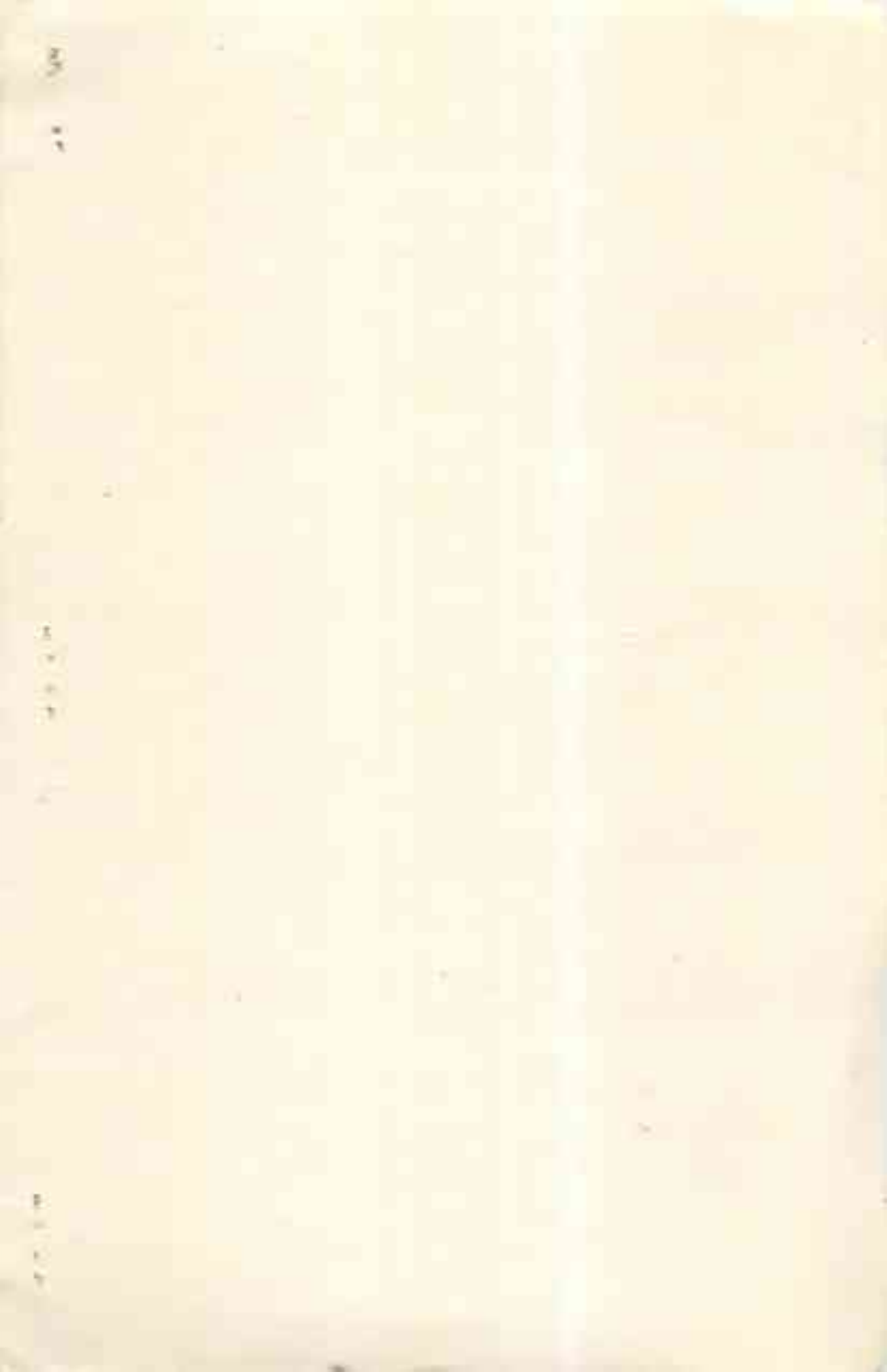